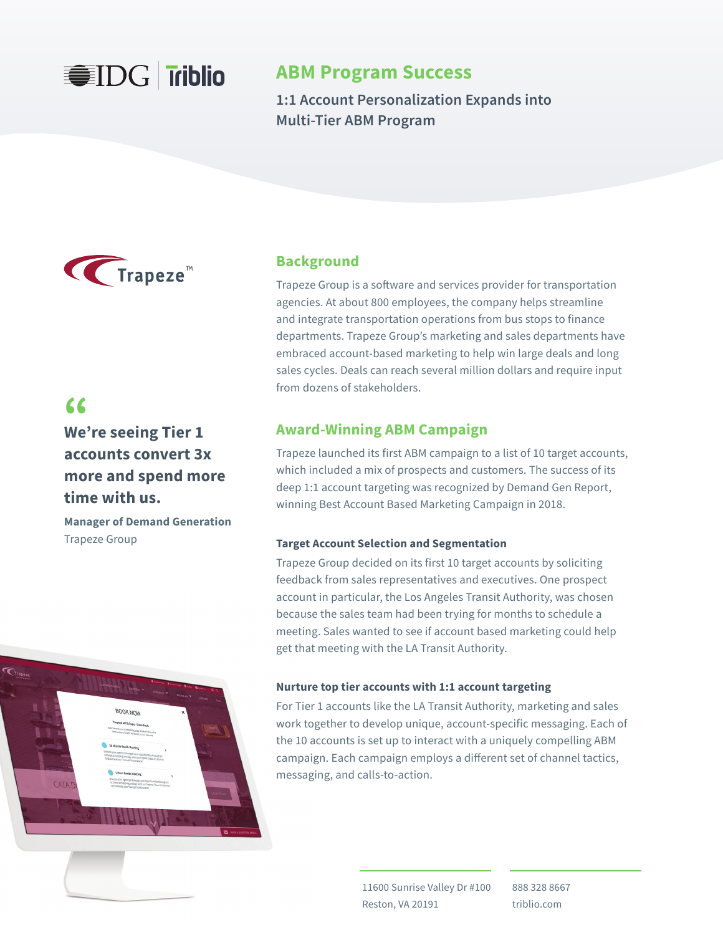

# **ABM Program Success**

**1:1 Account Personalization Expands into Multi-Tier ABM Program**



# **Background**

Trapeze Group is a software and services provider for transportation agencies. At about 800 employees, the company helps streamline and integrate transportation operations from bus stops to finance departments. Trapeze Group's marketing and sales departments have embraced account-based marketing to help win large deals and long sales cycles. Deals can reach several million dollars and require input from dozens of stakeholders.

**We're seeing Tier 1 "accounts convert 3x more and spend more time with us.**

**Manager of Demand Generation**  Trapeze Group



# **Award-Winning ABM Campaign**

Trapeze launched its first ABM campaign to a list of 10 target accounts, which included a mix of prospects and customers. The success of its deep 1:1 account targeting was recognized by Demand Gen Report, winning Best Account Based Marketing Campaign in 2018.

### **Target Account Selection and Segmentation**

Trapeze Group decided on its first 10 target accounts by soliciting feedback from sales representatives and executives. One prospect account in particular, the Los Angeles Transit Authority, was chosen because the sales team had been trying for months to schedule a meeting. Sales wanted to see if account based marketing could help get that meeting with the LA Transit Authority.

### **Nurture top tier accounts with 1:1 account targeting**

For Tier 1 accounts like the LA Transit Authority, marketing and sales work together to develop unique, account-specific messaging. Each of the 10 accounts is set up to interact with a uniquely compelling ABM campaign. Each campaign employs a different set of channel tactics, messaging, and calls-to-action.

> 11600 Sunrise Valley Dr #100 Reston, VA 20191

888 328 8667 triblio.com